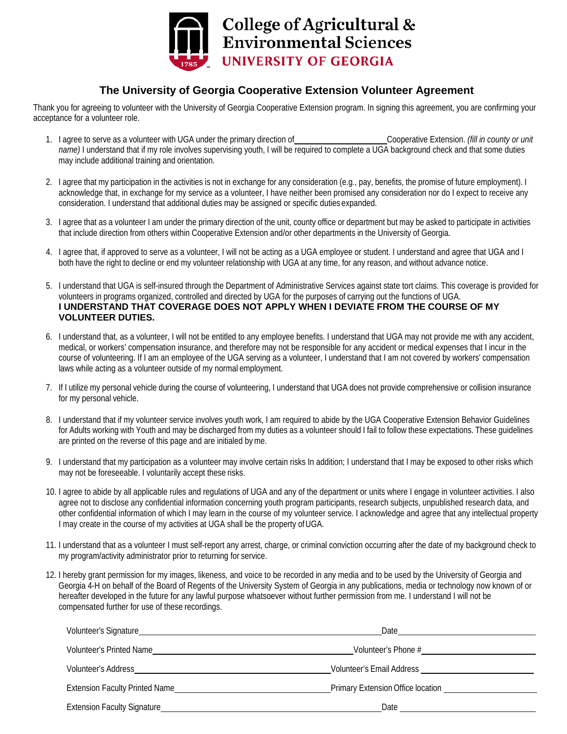

## **The University of Georgia Cooperative Extension Volunteer Agreement**

Thank you for agreeing to volunteer with the University of Georgia Cooperative Extension program. In signing this agreement, you are confirming your acceptance for a volunteer role.

- 1. I agree to serve as a volunteer with UGA under the primary direction of Cooperative Extension. *(fill in county or unit name)* I understand that if my role involves supervising youth, I will be required to complete a UGA background check and that some duties may include additional training and orientation.
- 2. I agree that my participation in the activities is not in exchange for any consideration (e.g., pay, benefits, the promise of future employment). I acknowledge that, in exchange for my service as a volunteer, I have neither been promised any consideration nor do I expect to receive any consideration. I understand that additional duties may be assigned or specific duties expanded.
- 3. I agree that as a volunteer I am under the primary direction of the unit, county office or department but may be asked to participate in activities that include direction from others within Cooperative Extension and/or other departments in the University of Georgia.
- 4. I agree that, if approved to serve as a volunteer, I will not be acting as a UGA employee or student. I understand and agree that UGA and I both have the right to decline or end my volunteer relationship with UGA at any time, for any reason, and without advance notice.
- 5. I understand that UGA is self-insured through the Department of Administrative Services against state tort claims. This coverage is provided for volunteers in programs organized, controlled and directed by UGA for the purposes of carrying out the functions of UGA. **I UNDERSTAND THAT COVERAGE DOES NOT APPLY WHEN I DEVIATE FROM THE COURSE OF MY VOLUNTEER DUTIES.**
- 6. I understand that, as a volunteer, I will not be entitled to any employee benefits. I understand that UGA may not provide me with any accident, medical, or workers' compensation insurance, and therefore may not be responsible for any accident or medical expenses that I incur in the course of volunteering. If I am an employee of the UGA serving as a volunteer, I understand that I am not covered by workers' compensation laws while acting as a volunteer outside of my normal employment.
- 7. If I utilize my personal vehicle during the course of volunteering, I understand that UGA does not provide comprehensive or collision insurance for my personal vehicle.
- 8. I understand that if my volunteer service involves youth work, I am required to abide by the UGA Cooperative Extension Behavior Guidelines for Adults working with Youth and may be discharged from my duties as a volunteer should I fail to follow these expectations. These guidelines are printed on the reverse of this page and are initialed byme.
- 9. I understand that my participation as a volunteer may involve certain risks In addition; I understand that I may be exposed to other risks which may not be foreseeable. I voluntarily accept these risks.
- 10. I agree to abide by all applicable rules and regulations of UGA and any of the department or units where I engage in volunteer activities. I also agree not to disclose any confidential information concerning youth program participants, research subjects, unpublished research data, and other confidential information of which I may learn in the course of my volunteer service. I acknowledge and agree that any intellectual property I may create in the course of my activities at UGA shall be the property ofUGA.
- 11. I understand that as a volunteer I must self-report any arrest, charge, or criminal conviction occurring after the date of my background check to my program/activity administrator prior to returning for service.
- 12. I hereby grant permission for my images, likeness, and voice to be recorded in any media and to be used by the University of Georgia and Georgia 4-H on behalf of the Board of Regents of the University System of Georgia in any publications, media or technology now known of or hereafter developed in the future for any lawful purpose whatsoever without further permission from me. I understand I will not be compensated further for use of these recordings.

| Volunteer's Signature                 | Date                             |
|---------------------------------------|----------------------------------|
| Volunteer's Printed Name              | Volunteer's Phone #              |
| Volunteer's Address                   | <b>Volunteer's Email Address</b> |
| <b>Extension Faculty Printed Name</b> |                                  |
| <b>Extension Faculty Signature</b>    | Date                             |